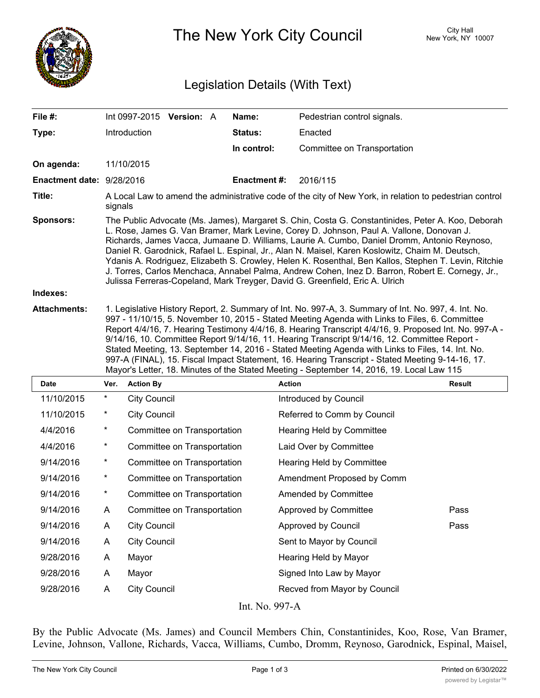

The New York City Council New York, NY 10007

## Legislation Details (With Text)

| File #:                   | Int 0997-2015<br><b>Version: A</b>                                                                                                                                                                                                                                                                                                                                                                                                                                                                                                                                                                                                                                                                                     | Name:               | Pedestrian control signals. |  |  |
|---------------------------|------------------------------------------------------------------------------------------------------------------------------------------------------------------------------------------------------------------------------------------------------------------------------------------------------------------------------------------------------------------------------------------------------------------------------------------------------------------------------------------------------------------------------------------------------------------------------------------------------------------------------------------------------------------------------------------------------------------------|---------------------|-----------------------------|--|--|
| Type:                     | Introduction                                                                                                                                                                                                                                                                                                                                                                                                                                                                                                                                                                                                                                                                                                           | <b>Status:</b>      | Enacted                     |  |  |
|                           |                                                                                                                                                                                                                                                                                                                                                                                                                                                                                                                                                                                                                                                                                                                        | In control:         | Committee on Transportation |  |  |
| On agenda:                | 11/10/2015                                                                                                                                                                                                                                                                                                                                                                                                                                                                                                                                                                                                                                                                                                             |                     |                             |  |  |
| Enactment date: 9/28/2016 |                                                                                                                                                                                                                                                                                                                                                                                                                                                                                                                                                                                                                                                                                                                        | <b>Enactment #:</b> | 2016/115                    |  |  |
| Title:                    | A Local Law to amend the administrative code of the city of New York, in relation to pedestrian control<br>signals                                                                                                                                                                                                                                                                                                                                                                                                                                                                                                                                                                                                     |                     |                             |  |  |
| <b>Sponsors:</b>          | The Public Advocate (Ms. James), Margaret S. Chin, Costa G. Constantinides, Peter A. Koo, Deborah<br>L. Rose, James G. Van Bramer, Mark Levine, Corey D. Johnson, Paul A. Vallone, Donovan J.<br>Richards, James Vacca, Jumaane D. Williams, Laurie A. Cumbo, Daniel Dromm, Antonio Reynoso,<br>Daniel R. Garodnick, Rafael L. Espinal, Jr., Alan N. Maisel, Karen Koslowitz, Chaim M. Deutsch,<br>Ydanis A. Rodriguez, Elizabeth S. Crowley, Helen K. Rosenthal, Ben Kallos, Stephen T. Levin, Ritchie<br>J. Torres, Carlos Menchaca, Annabel Palma, Andrew Cohen, Inez D. Barron, Robert E. Cornegy, Jr.,<br>Julissa Ferreras-Copeland, Mark Treyger, David G. Greenfield, Eric A. Ulrich                            |                     |                             |  |  |
| Indexes:                  |                                                                                                                                                                                                                                                                                                                                                                                                                                                                                                                                                                                                                                                                                                                        |                     |                             |  |  |
| <b>Attachments:</b>       | 1. Legislative History Report, 2. Summary of Int. No. 997-A, 3. Summary of Int. No. 997, 4. Int. No.<br>997 - 11/10/15, 5. November 10, 2015 - Stated Meeting Agenda with Links to Files, 6. Committee<br>Report 4/4/16, 7. Hearing Testimony 4/4/16, 8. Hearing Transcript 4/4/16, 9. Proposed Int. No. 997-A -<br>9/14/16, 10. Committee Report 9/14/16, 11. Hearing Transcript 9/14/16, 12. Committee Report -<br>Stated Meeting, 13. September 14, 2016 - Stated Meeting Agenda with Links to Files, 14. Int. No.<br>997-A (FINAL), 15. Fiscal Impact Statement, 16. Hearing Transcript - Stated Meeting 9-14-16, 17.<br>Mayor's Letter, 18. Minutes of the Stated Meeting - September 14, 2016, 19. Local Law 115 |                     |                             |  |  |

| Date                | Ver.     | <b>Action By</b>            | <b>Action</b>                | Result |  |  |
|---------------------|----------|-----------------------------|------------------------------|--------|--|--|
| 11/10/2015          | $^\star$ | <b>City Council</b>         | Introduced by Council        |        |  |  |
| 11/10/2015          | $^\star$ | <b>City Council</b>         | Referred to Comm by Council  |        |  |  |
| 4/4/2016            | $^\ast$  | Committee on Transportation | Hearing Held by Committee    |        |  |  |
| 4/4/2016            | $\ast$   | Committee on Transportation | Laid Over by Committee       |        |  |  |
| 9/14/2016           | $\star$  | Committee on Transportation | Hearing Held by Committee    |        |  |  |
| 9/14/2016           | $^\ast$  | Committee on Transportation | Amendment Proposed by Comm   |        |  |  |
| 9/14/2016           | $\ast$   | Committee on Transportation | Amended by Committee         |        |  |  |
| 9/14/2016           | A        | Committee on Transportation | Approved by Committee        | Pass   |  |  |
| 9/14/2016           | A        | <b>City Council</b>         | Approved by Council          | Pass   |  |  |
| 9/14/2016           | A        | <b>City Council</b>         | Sent to Mayor by Council     |        |  |  |
| 9/28/2016           | A        | Mayor                       | Hearing Held by Mayor        |        |  |  |
| 9/28/2016           | A        | Mayor                       | Signed Into Law by Mayor     |        |  |  |
| 9/28/2016           | A        | <b>City Council</b>         | Recved from Mayor by Council |        |  |  |
| T . 3 T . O . O . L |          |                             |                              |        |  |  |

Int. No. 997-A

By the Public Advocate (Ms. James) and Council Members Chin, Constantinides, Koo, Rose, Van Bramer, Levine, Johnson, Vallone, Richards, Vacca, Williams, Cumbo, Dromm, Reynoso, Garodnick, Espinal, Maisel,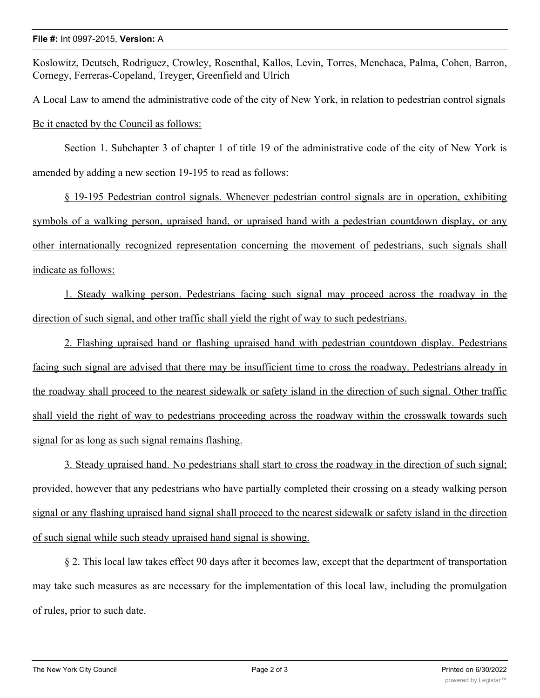## **File #:** Int 0997-2015, **Version:** A

Koslowitz, Deutsch, Rodriguez, Crowley, Rosenthal, Kallos, Levin, Torres, Menchaca, Palma, Cohen, Barron, Cornegy, Ferreras-Copeland, Treyger, Greenfield and Ulrich

A Local Law to amend the administrative code of the city of New York, in relation to pedestrian control signals Be it enacted by the Council as follows:

Section 1. Subchapter 3 of chapter 1 of title 19 of the administrative code of the city of New York is amended by adding a new section 19-195 to read as follows:

§ 19-195 Pedestrian control signals. Whenever pedestrian control signals are in operation, exhibiting symbols of a walking person, upraised hand, or upraised hand with a pedestrian countdown display, or any other internationally recognized representation concerning the movement of pedestrians, such signals shall indicate as follows:

1. Steady walking person. Pedestrians facing such signal may proceed across the roadway in the direction of such signal, and other traffic shall yield the right of way to such pedestrians.

2. Flashing upraised hand or flashing upraised hand with pedestrian countdown display. Pedestrians facing such signal are advised that there may be insufficient time to cross the roadway. Pedestrians already in the roadway shall proceed to the nearest sidewalk or safety island in the direction of such signal. Other traffic shall yield the right of way to pedestrians proceeding across the roadway within the crosswalk towards such signal for as long as such signal remains flashing.

3. Steady upraised hand. No pedestrians shall start to cross the roadway in the direction of such signal; provided, however that any pedestrians who have partially completed their crossing on a steady walking person signal or any flashing upraised hand signal shall proceed to the nearest sidewalk or safety island in the direction of such signal while such steady upraised hand signal is showing.

§ 2. This local law takes effect 90 days after it becomes law, except that the department of transportation may take such measures as are necessary for the implementation of this local law, including the promulgation of rules, prior to such date.